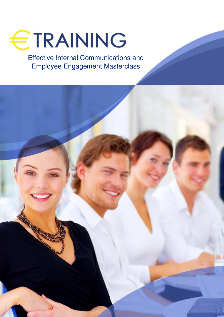

Effective Internal Communications and Employee Engagement Masterclass

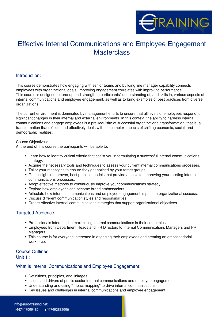

# Effective Internal Communications and Employee Engagement **Masterclass**

#### **Introduction:**

This course demonstrates how engaging with senior teams and building line manager capability connects employees with organizational goals. Improving engagement correlates with improving performance. This course is designed to tune-up and strengthen participants<sup>[]</sup> understanding of, and skills in, various aspects of internal communications and employee engagement, as well as to bring examples of best practices from diverse organizations.

The current environment is dominated by management efforts to ensure that all levels of employees respond to significant changes in their internal and external environments. In this context, the ability to harness internal communications and engage employees is a pre-requisite of successful organizational transformation, that is, a transformation that reflects and effectively deals with the complex impacts of shifting economic, social, and demographic realities.

#### Course Objectives:

At the end of this course the participants will be able to:

- Learn how to identify critical criteria that assist you in formulating a successful internal communications strategy.
- Acquire the necessary tools and techniques to assess your current internal communications processes.
- Tailor your messages to ensure they get noticed by your target groups.
- Gain insight into proven, best practice models that provide a basis for improving your existing internal communications processes.
- Adopt effective methods to continuously improve your communications strategy.
- Explore how employees can become brand ambassadors.
- Articulate how internal communications and employee engagement impact on organizational success.
- Discuss different communication styles and responsibilities.
- Create effective internal communications strategies that support organizational objectives.

#### **Targeted Audience:**

- Professionals interested in maximizing internal communications in their companies
- Employees from Department Heads and HR Directors to Internal Communications Managers and PR Managers
- This course is for everyone interested in engaging their employees and creating an ambassadorial workforce.

#### **Course Outlines:**

**Unit 1 :**

#### **What is Internal Communications and Employee Engagement:**

- Definitions, principles, and linkages.
- Issues and drivers of public sector internal communications and employee engagement.
- Understanding and using "impact mapping" to drive internal communications.
- Key issues and challenges in internal communications and employee engagement.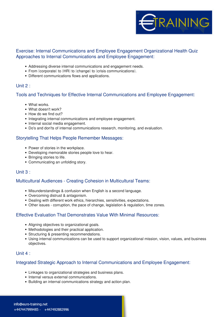

# **Exercise: Internal Communications and Employee Engagement Organizational Health Quiz Approaches to Internal Communications and Employee Engagement:**

- Addressing diverse internal communications and engagement needs.
- From Decorporatel to DHRD to Dehangel to Derisis communications D.
- Different communications flows and applications.

#### **Unit 2 :**

#### **Tools and Techniques for Effective Internal Communications and Employee Engagement:**

- What works.
- What doesn't work?
- How do we find out?
- Integrating internal communications and employee engagement.
- Internal social media engagement.
- Do's and don'ts of internal communications research, monitoring, and evaluation.

#### **Storytelling That Helps People Remember Messages:**

- Power of stories in the workplace.
- Developing memorable stories people love to hear.
- Bringing stories to life.
- Communicating an unfolding story.

## **Unit 3 :**

#### **Multicultural Audiences - Creating Cohesion in Multicultural Teams:**

- Misunderstandings & confusion when English is a second language.
- Overcoming distrust & antagonism.
- Dealing with different work ethics, hierarchies, sensitivities, expectations.
- Other issues corruption, the pace of change, legislation & regulation, time zones.

# **Effective Evaluation That Demonstrates Value With Minimal Resources:**

- Aligning objectives to organizational goals.
- Methodologies and their practical application.
- Structuring & presenting recommendations.
- Using internal communications can be used to support organizational mission, vision, values, and business objectives.

#### **Unit 4 :**

#### **Integrated Strategic Approach to Internal Communications and Employee Engagement:**

- Linkages to organizational strategies and business plans.
- Internal versus external communications.
- Building an internal communications strategy and action plan.